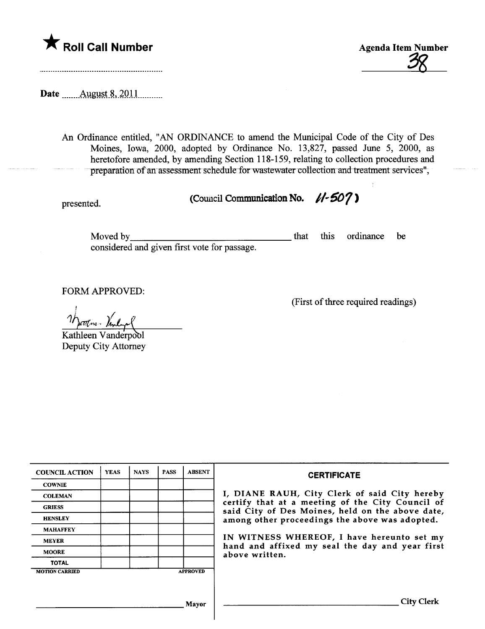



Date .......August 8, 2011...........

An Ordinance entitled, "AN ORDINANCE to amend the Muncipal Code of the City of Des Moines, Iowa, 2000, adopted by Ordinance No. 13,827, passed June 5, 2000, as heretofore amended, by amending Section 118-159, relating to collection procedures and preparation of an assessment schedule for wastewater collection and treatment services";

presented. (Council Communication No.  $1/507$ )

Moved by considered and given first vote for passage. that this ordinance be

FORM APPROVED:

(First of thee required readings)

i etten : Vanlagel

Kathleen Vanderpool Deputy City Attorney

| <b>COUNCIL ACTION</b> | <b>YEAS</b> | <b>NAYS</b> | <b>PASS</b> | <b>ABSENT</b>   | <b>CERTIFICATE</b>                                                                                                                                                                                                                                                                                                         |
|-----------------------|-------------|-------------|-------------|-----------------|----------------------------------------------------------------------------------------------------------------------------------------------------------------------------------------------------------------------------------------------------------------------------------------------------------------------------|
| <b>COWNIE</b>         |             |             |             |                 | I, DIANE RAUH, City Clerk of said City hereby<br>certify that at a meeting of the City Council of<br>said City of Des Moines, held on the above date,<br>among other proceedings the above was adopted.<br>IN WITNESS WHEREOF, I have hereunto set my<br>hand and affixed my seal the day and year first<br>above written. |
| <b>COLEMAN</b>        |             |             |             |                 |                                                                                                                                                                                                                                                                                                                            |
| <b>GRIESS</b>         |             |             |             |                 |                                                                                                                                                                                                                                                                                                                            |
| <b>HENSLEY</b>        |             |             |             |                 |                                                                                                                                                                                                                                                                                                                            |
| <b>MAHAFFEY</b>       |             |             |             |                 |                                                                                                                                                                                                                                                                                                                            |
| <b>MEYER</b>          |             |             |             |                 |                                                                                                                                                                                                                                                                                                                            |
| <b>MOORE</b>          |             |             |             |                 |                                                                                                                                                                                                                                                                                                                            |
| <b>TOTAL</b>          |             |             |             |                 |                                                                                                                                                                                                                                                                                                                            |
| <b>MOTION CARRIED</b> |             |             |             | <b>APPROVED</b> |                                                                                                                                                                                                                                                                                                                            |
|                       |             |             |             |                 |                                                                                                                                                                                                                                                                                                                            |
|                       |             |             |             |                 |                                                                                                                                                                                                                                                                                                                            |
|                       |             |             |             | Mayor           | City C                                                                                                                                                                                                                                                                                                                     |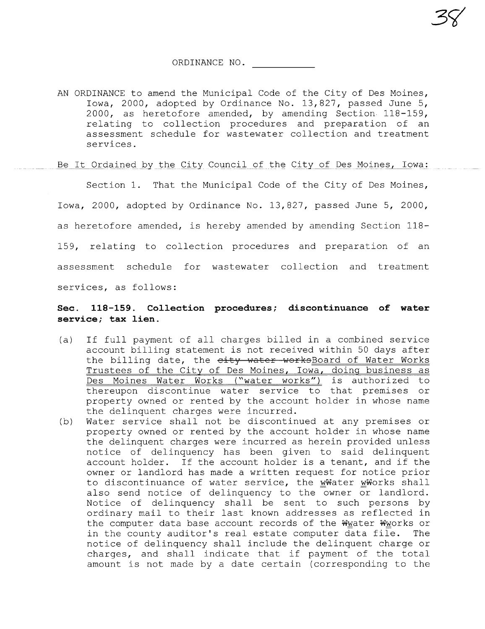3C(

AN ORDINANCE to amend the Municipal Code of the City of Des Moines, Iowa, 2000, adopted by Ordinance No. 13,827, passed June 5, 2000, as heretofore amended, by amending Section 118-159, relating to collection procedures and preparation of an assessment schedule for wastewater collection and treatment services.

## Be It Ordained by the City Council of the City of Des Moines, Iowa:

Section 1. That the Municipal Code of the City of Des Moines, Iowa, 2000, adopted by Ordinance No. 13,827, passed June 5, 2000, as heretofore amended, is hereby amended by amending Section 118- 159, relating to collection procedures and preparation of an assessment schedule for wastewater collection and treatment services, as follows:

## Sec. 118-159. Collection procedures; discontinuance of water service; tax lien.

- (a) If full payment of all charges billed in a combined service account billing statement is not received within 50 days after the billing date, the eity water worksBoard of Water Works Trustees of the City of Des Moines, Iowa, doing business as Des Moines Water Works ("water works") is authorized to thereupon discontinue water service to that premises or property owned or rented by the account holder in whose name the delinquent charges were incurred.
- (b) Water service shall not be discontinued at any premises or property owned or rented by the account holder in whose name the delinquent charges were incurred as herein provided unless notice of delinquency has been given to said delinquent account holder. If the account holder is a tenant, and if the owner or landlord has made a written request for notice prior to discontinuance of water service, the WWater WWorks shall also send notice of delinquency to the owner or landlord. Notice of delinquency shall be sent to such persons by ordinary mail to their last known addresses as reflected in the computer data base account records of the Wwater Wworks or in the county auditor's real estate computer data file. The notice of delinquency shall include the delinquent charge or charges, and shall indicate that if payment of the total amount is not made by a date certain (corresponding to the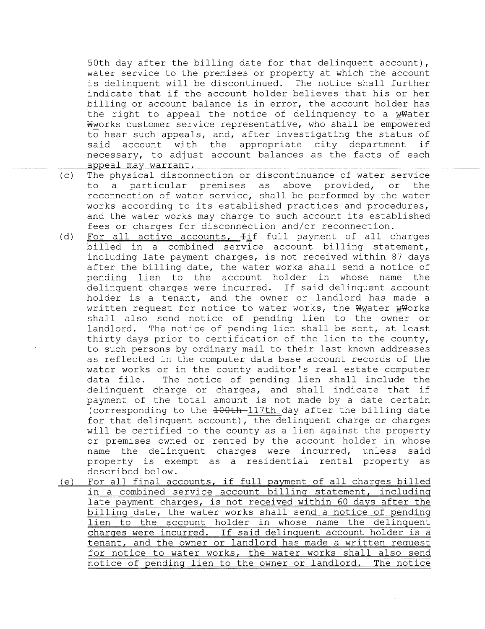50th day after the billing date for that delinquent account), water service to the premises or property at which the account is delinquent will be discontinued. The notice shall further indicate that if the account holder believes that his or her billing or account balance is in error, the account holder has the right to appeal the notice of delinquency to a wWater Wworks customer service representative, who shall be empowered to hear such appeals, and, after investigating the status of said account with the appropriate city department if necessary, to adjust account balances as the facts of each appeal may warrant.

- (c) The physical disconnection or discontinuance of water service<br>to a particular premises as above provided, or the particular premises as above provided, reconnection of water service, shall be performed by the water works according to its established practices and procedures, and the water works may charge to such account its established fees or charges for disconnection and/or reconnection.
- (d) For all active accounts,  $\pm i f$  full payment of all charges billed in a combined service account billing statement, including late payment charges, is not received within 87 days after the billing date, the water works shall send a notice of pending lien to the account holder in whose name the delinquent charges were incurred. If said delinquent account holder is a tenant, and the owner or landlord has made a written request for notice to water works, the Wwater wWorks shall also send notice of pending lien to the owner or landlord. The notice of pending lien shall be sent, at least thirty days prior to certification of the lien to the county, to such persons by ordinary mail to their last known addresses as reflected in the computer data base account records of the water works or in the county auditor's real estate computer data file. The notice of pending lien shall include the delinquent charge or charges, and shall indicate that if payment of the total amount is not made by a date certain (corresponding to the  $+00th-117th$  day after the billing date for that delinquent account), the delinquent charge or charges will be certified to the county as a lien against the property<br>or premises owned or rented by the account holder in whose name the delinquent charges were incurred, unless said<br>property is exempt as a residential rental property as described below.
- (e) For all final accounts, if full payment of all charges billed in a combined service account billing statement, including late payment charges, is not received within 60 days after the billing date, the water works shall send a notice of pending lien to the account holder in whose name the delinquent charges were incurred. If said delinquent account holder is a tenant, and the owner or landlord has made a written request for notice to water works, the water works shall also send notice of pending lien to the owner or landlord. The notice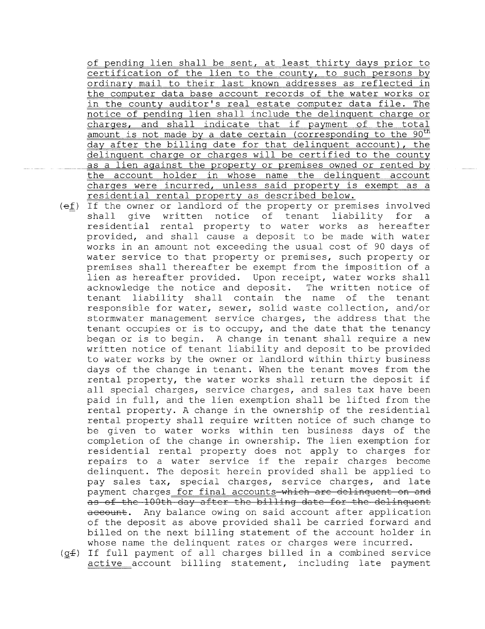of pending lien shall be sent, at least thirty days prior to certification of the lien to the county, to such persons by ordinary mail to their last known addresses as reflected in the computer data base account records of the water works or in the county auditor's real estate computer data file. The notice of pending lien shall include the delinquent charge or charges, and shall indicate that if payment of the total amount is not made by a date certain (corresponding to the 90<sup>th</sup> dav after the billing date for that delinquent account), the delinquent charge or charges will be certified to the county as a lien against the property or premises owned or rented by the account holder in whose name the delinquent account charges were incurred, unless said property is exempt as a residential rental property as described below.

- $(e_1)$  If the owner or landlord of the property or premises involved<br>shall give written notice of tenant liability for a give written notice of tenant liability for residential rental property to water works as hereafter provided, and shall cause a deposit to be made with water works in an amount not exceeding the usual cost of 90 days of water service to that property or premises, such property or premises shall thereafter be exempt from the imposition of a lien as hereafter provided. Upon receipt, water works shall acknowledge the notice and deposit. The written notice of tenant liability shall contain the name of the tenant responsible for water, sewer, solid waste collection, and/or stormwater management service charges, the address that the tenant occupies or is to occupy, and the date that the tenancy began or is to begin. A change in tenant shall require a new written notice of tenant liability and deposit to be provided to water works by the owner or landlord within thirty business days of the change in tenant. When the tenant moves from the rental property, the water works shall return the deposit if all special charges, service charges, and sales tax have been paid in full, and the lien exemption shall be lifted from the rental property. A change in the ownership of the residential rental property shall require written notice of such change to be given to water works within ten business days of the completion of the change in ownership. The lien exemption for residential rental property does not apply to charges for repairs to a water service if the repair charges become delinquent. The deposit herein provided shall be applied to pay sales tax, special charges, service charges, and late payment charges for final accounts which are delinquent on and as of the 100th day after the billing date for the delinquent account. Any balance owing on said account after application of the deposit as above provided shall be carried forward and billed on the next billing statement of the account holder in whose name the delinquent rates or charges were incurred.
- $(qf)$  If full payment of all charges billed in a combined service active account billing statement, including late payment